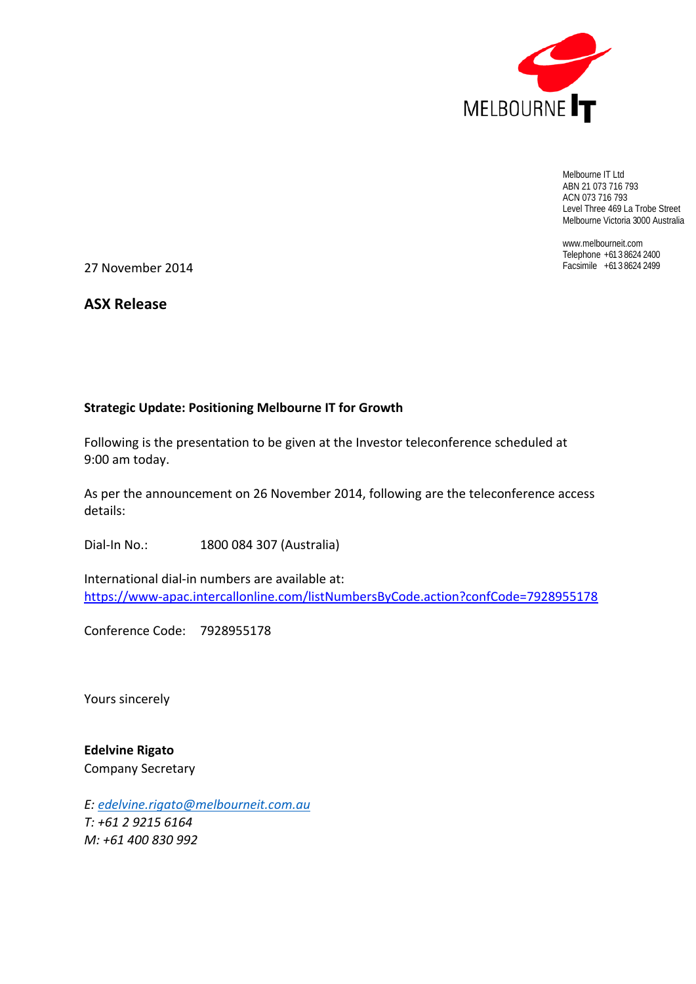

Melbourne IT Ltd ABN 21 073 716 793 ACN 073 716 793 Level Three 469 La Trobe Street Melbourne Victoria 3000 Australia

www.melbourneit.com Telephone +61 3 8624 2400

27 November 2014 Facsimile +61 3 8624 2499

**ASX Release**

#### **Strategic Update: Positioning Melbourne IT for Growth**

Following is the presentation to be given at the Investor teleconference scheduled at 9:00 am today.

As per the announcement on 26 November 2014, following are the teleconference access details:

Dial‐In No.: 1800 084 307 (Australia)

International dial‐in numbers are available at: https://www‐apac.intercallonline.com/listNumbersByCode.action?confCode=7928955178

Conference Code: 7928955178

Yours sincerely

**Edelvine Rigato** Company Secretary

*E: edelvine.rigato@melbourneit.com.au T: +61 2 9215 6164 M: +61 400 830 992*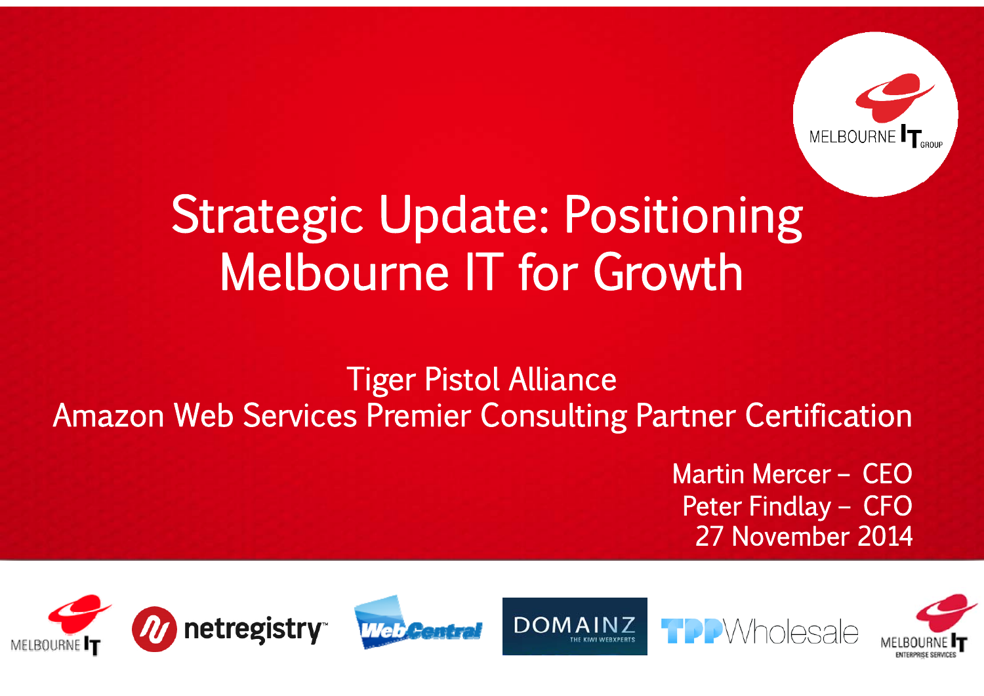

# Strategic Update: Positioning Melbourne IT for Growth

### Tiger Pistol Alliance Amazon Web Services Premier Consulting Partner Certification

Martin Mercer – CEO Peter Findlay – CFO 27 November 2014

Wholesale







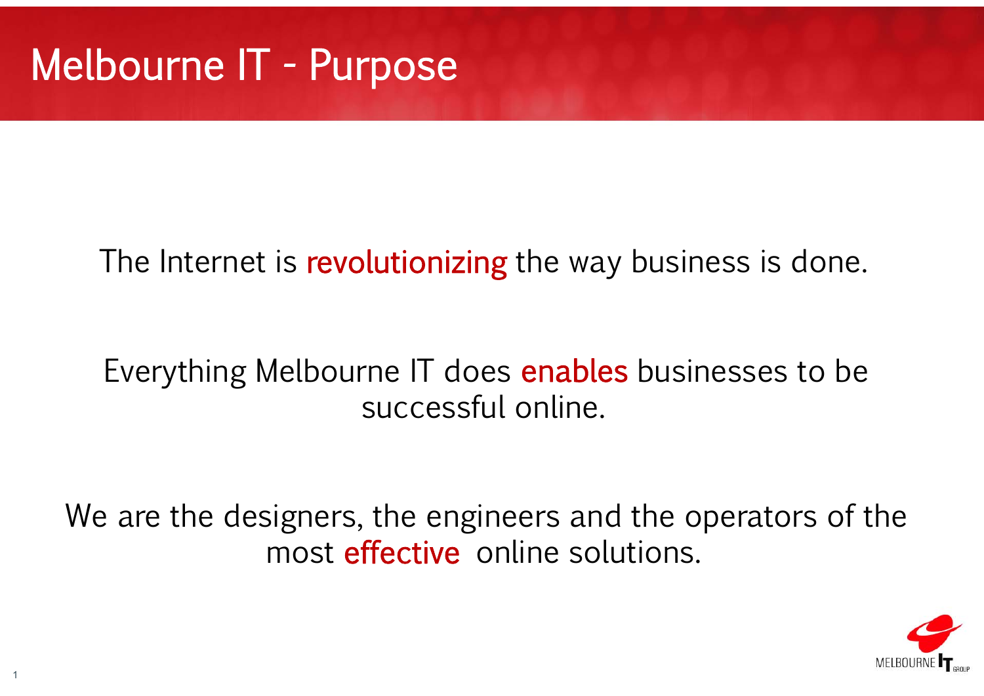## Melbourne IT - Purpose

### The Internet is revolutionizing the way business is done.

### Everything Melbourne IT does **enables** businesses to be successful online.

We are the designers, the engineers and the operators of the most **effective** online solutions.

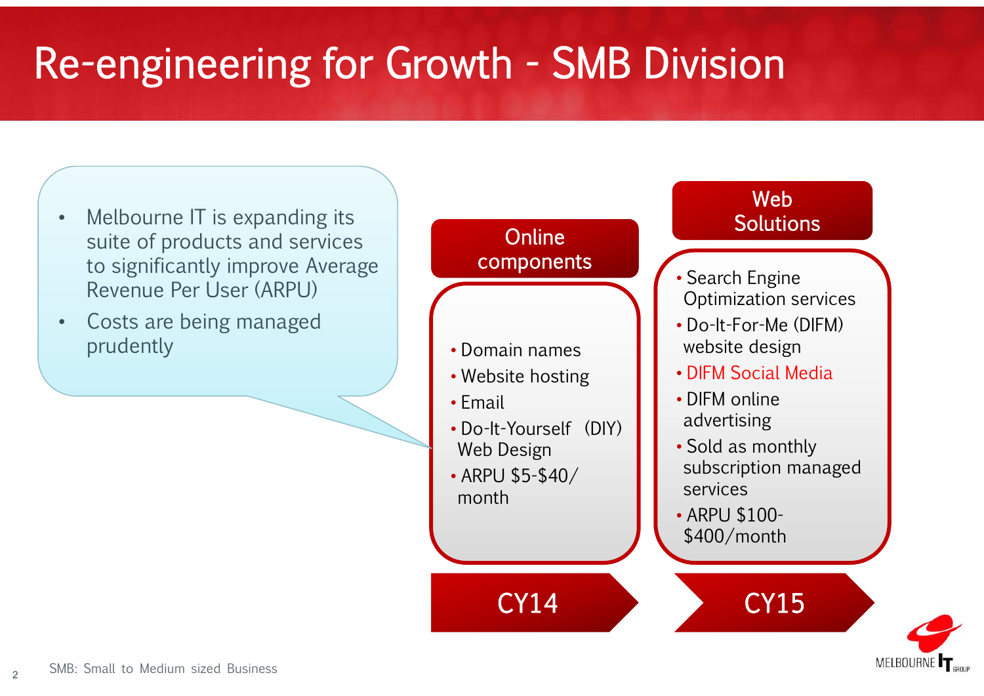## Re-engineering for Growth - SMB Division



MELBOURNI

 $\mathfrak{2}$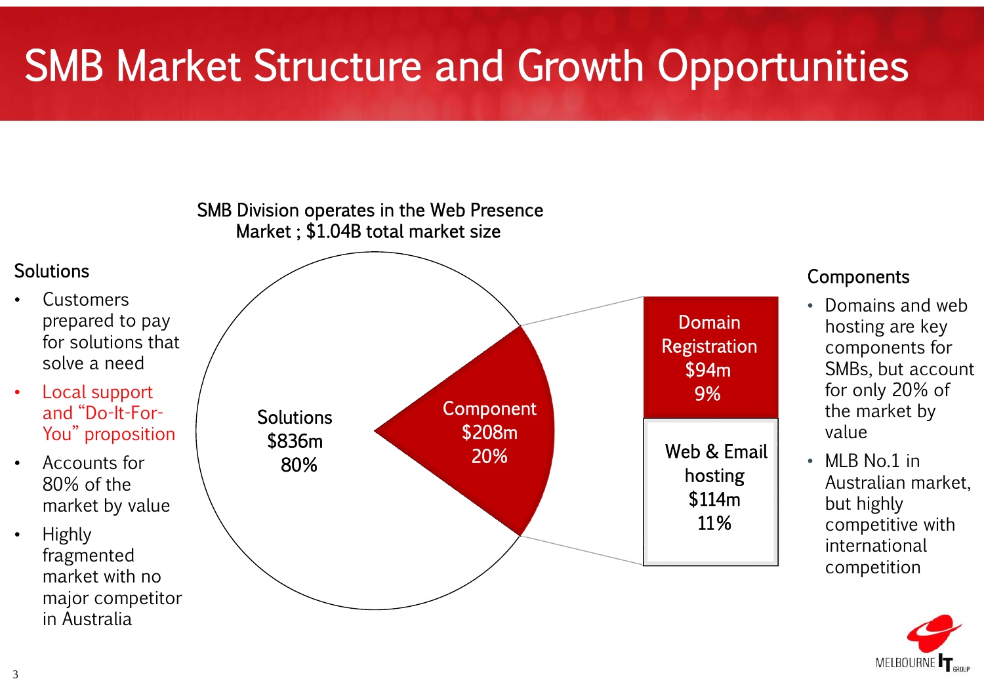## SMB Market Structure and Growth Opportunities



**MELBOURN** 

3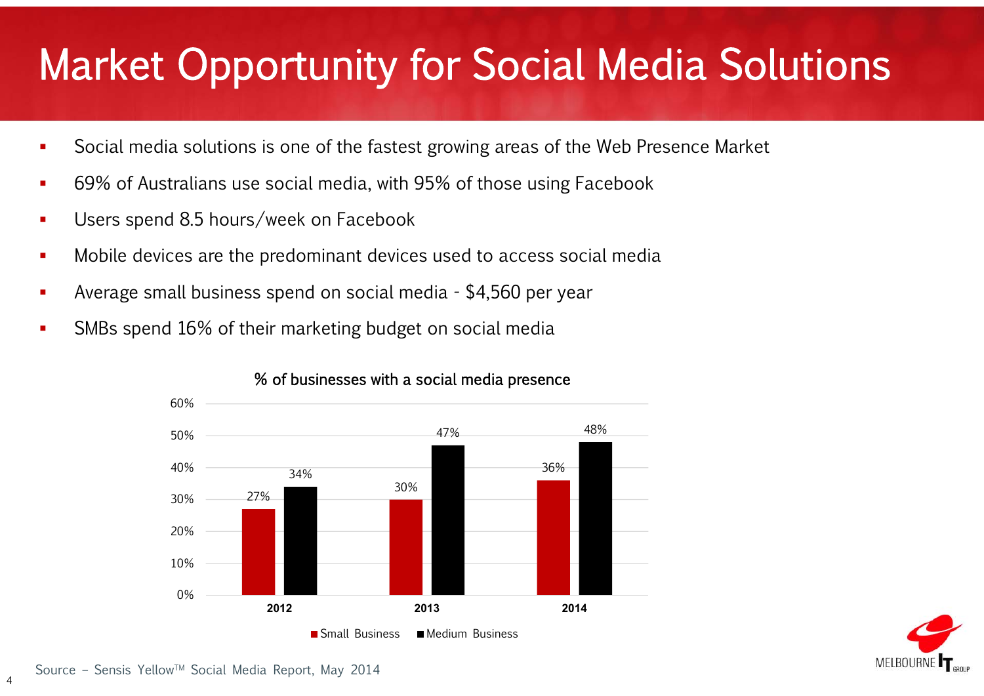## Market Opportunity for Social Media Solutions

- $\mathbf{r}$ Social media solutions is one of the fastest growing areas of the Web Presence Market
- $\mathcal{L}_{\mathcal{A}}$ 69% of Australians use social media, with 95% of those using Facebook
- ٠ Users spend 8.5 hours/week on Facebook
- $\mathcal{L}_{\mathcal{A}}$ Mobile devices are the predominant devices used to access social media
- Average small business spend on social media - \$4,560 per year
- SMBs spend 16% of their marketing budget on social media



#### % of businesses with a social media presence



4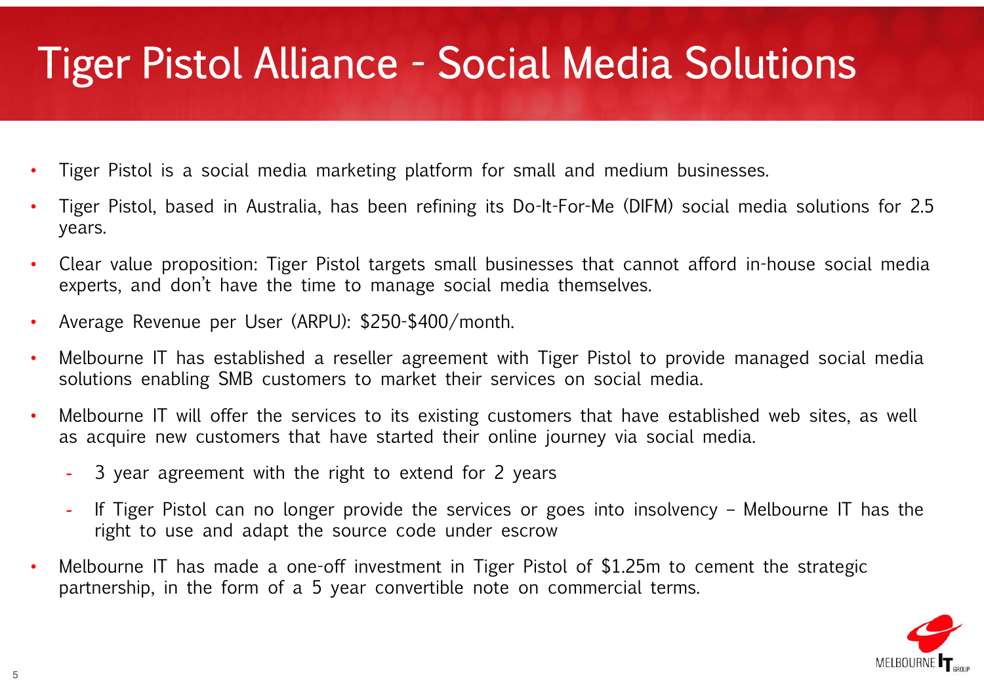#### Tiger Pistol Alliance - Social Media Solutions

- •Tiger Pistol is a social media marketing platform for small and medium businesses.
- •Tiger Pistol, based in Australia, has been refining its Do-It-For-Me (DIFM) social media solutions for 2.5 years.
- •Clear value proposition: Tiger Pistol targets small businesses that cannot afford in-house social media experts, and don't have the time to manage social media themselves.
- •Average Revenue per User (ARPU): \$250-\$400/month.
- • Melbourne IT has established a reseller agreement with Tiger Pistol to provide managed social media solutions enabling SMB customers to market their services on social media.
- • Melbourne IT will offer the services to its existing customers that have established web sites, as well as acquire new customers that have started their online journey via social media.
	- 3 year agreement with the right to extend for 2 years
	- If Tiger Pistol can no longer provide the services or goes into insolvency Melbourne IT has the right to use and adapt the source code under escrow
- •Melbourne IT has made a one-off investment in Tiger Pistol of \$1.25m to cement the strategic partnership, in the form of a 5 year convertible note on commercial terms.

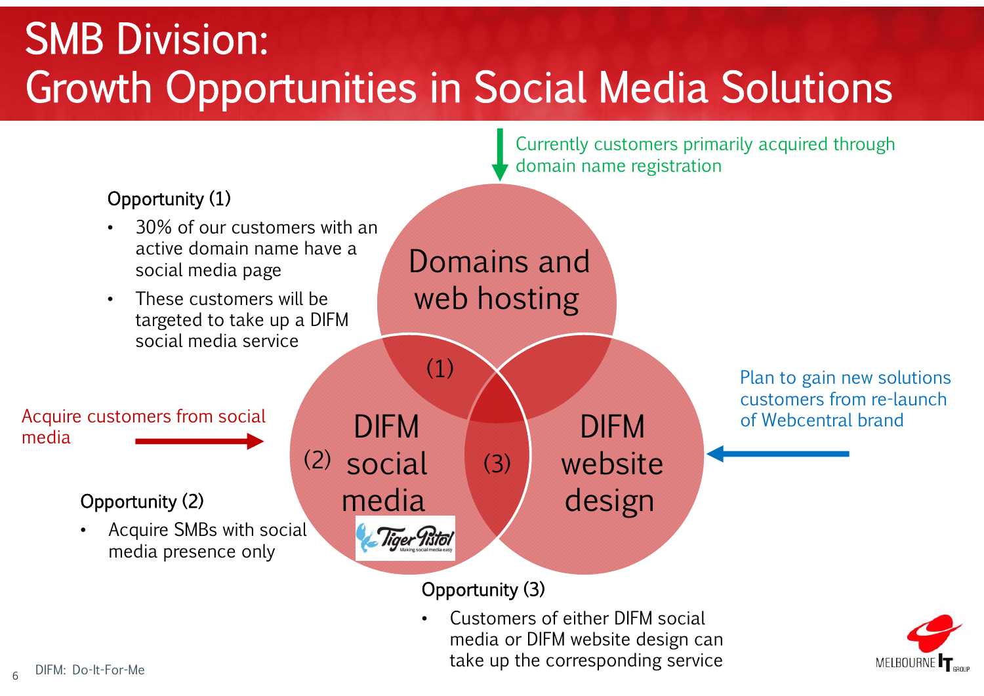### SMB Division: Growth Opportunities in Social Media Solutions

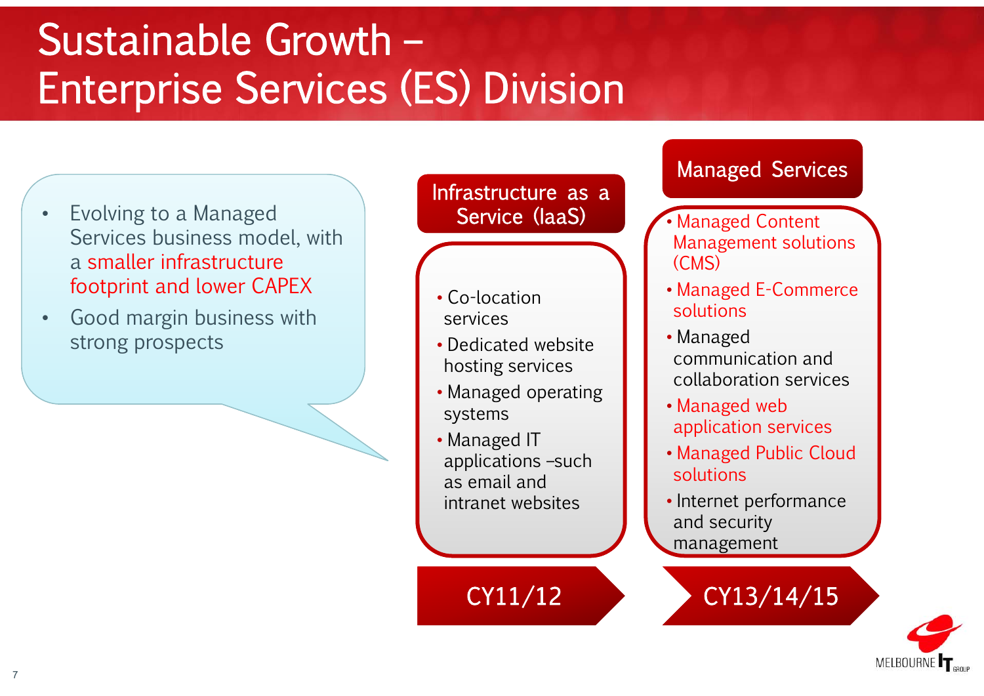### Sustainable Growth –Enterprise Services (ES) Division

- • Evolving to a Managed Services business model, with a smaller infrastructure footprint and lower CAPEX
- • Good margin business with strong prospects

Infrastructure as a Service (IaaS)

- Co-location services
- Dedicated website hosting services
- Managed operating systems
- Managed IT applications –such as email and intranet websites

CY11/12

#### Managed Services

- • Managed Content Management solutions (CMS)
- Managed E-Commerce solutions
- Managed communication and collaboration services
- Managed web application services
- Managed Public Cloud solutions
- Internet performance and security management
	- CY13/14/15

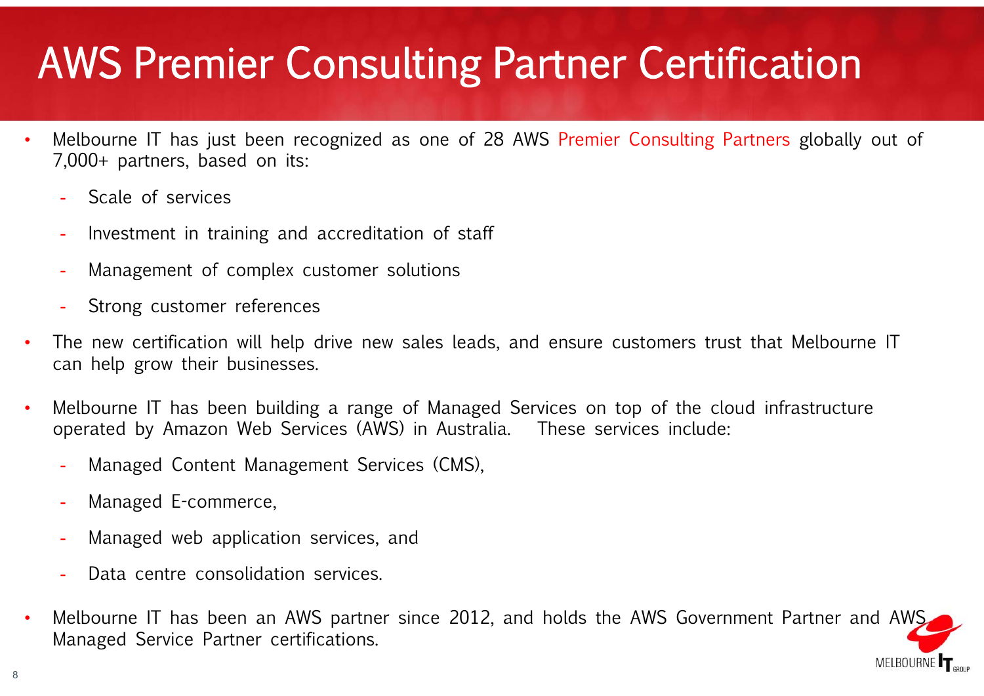## AWS Premier Consulting Partner Certification

- • Melbourne IT has just been recognized as one of 28 AWS Premier Consulting Partners globally out of 7,000+ partners, based on its:
	- -Scale of services
	- -Investment in training and accreditation of staff
	- -Management of complex customer solutions
	- Strong customer references
- • The new certification will help drive new sales leads, and ensure customers trust that Melbourne IT can help grow their businesses.
- • Melbourne IT has been building a range of Managed Services on top of the cloud infrastructure operated by Amazon Web Services (AWS) in Australia. These services include:
	- -Managed Content Management Services (CMS),
	- Managed E-commerce,
	- -Managed web application services, and
	- Data centre consolidation services.
- • Melbourne IT has been an AWS partner since 2012, and holds the AWS Government Partner and AWS Managed Service Partner certifications.

MELBOURNE